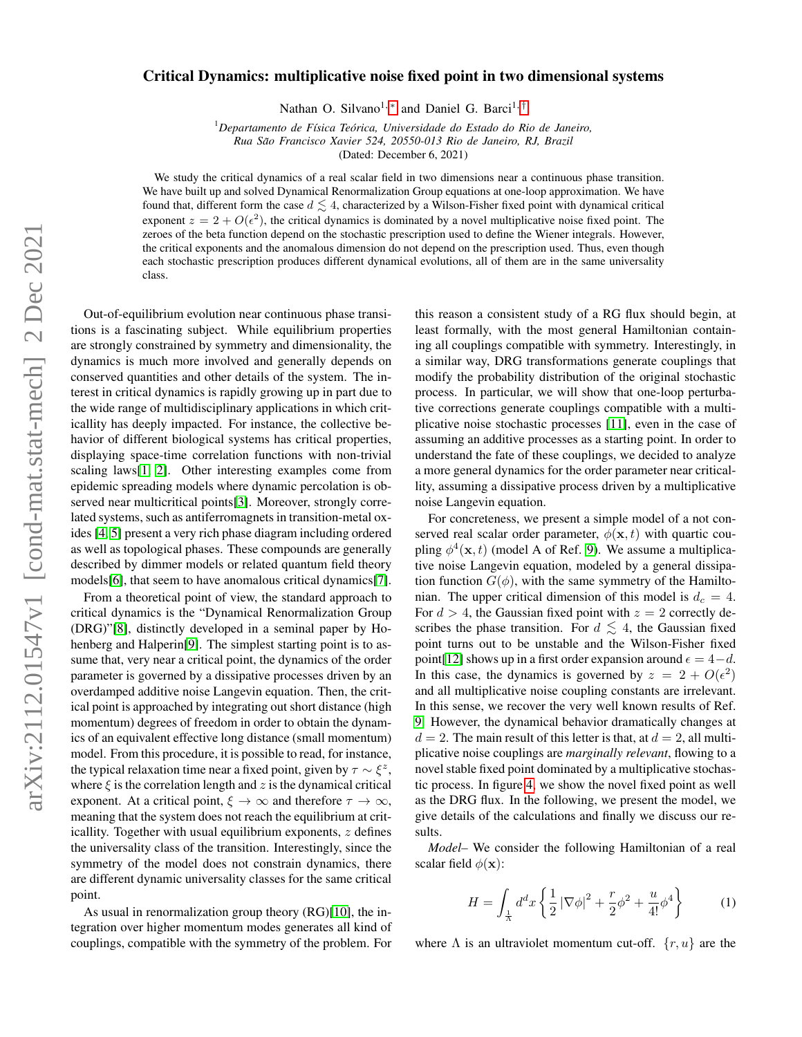## Critical Dynamics: multiplicative noise fixed point in two dimensional systems

Nathan O. Silvano<sup>1,\*</sup> and Daniel G. Barci<sup>1,[†](#page-3-1)</sup>

<sup>1</sup>*Departamento de F´ısica Teorica, Universidade do Estado do Rio de Janeiro, ´*

*Rua Sao Francisco Xavier 524, 20550-013 Rio de Janeiro, RJ, Brazil ˜*

(Dated: December 6, 2021)

We study the critical dynamics of a real scalar field in two dimensions near a continuous phase transition. We have built up and solved Dynamical Renormalization Group equations at one-loop approximation. We have found that, different form the case  $d \leq 4$ , characterized by a Wilson-Fisher fixed point with dynamical critical exponent  $z = 2 + O(\epsilon^2)$ , the critical dynamics is dominated by a novel multiplicative noise fixed point. The zeroes of the beta function depend on the stochastic prescription used to define the Wiener integrals. However, the critical exponents and the anomalous dimension do not depend on the prescription used. Thus, even though each stochastic prescription produces different dynamical evolutions, all of them are in the same universality class.

Out-of-equilibrium evolution near continuous phase transitions is a fascinating subject. While equilibrium properties are strongly constrained by symmetry and dimensionality, the dynamics is much more involved and generally depends on conserved quantities and other details of the system. The interest in critical dynamics is rapidly growing up in part due to the wide range of multidisciplinary applications in which criticallity has deeply impacted. For instance, the collective behavior of different biological systems has critical properties, displaying space-time correlation functions with non-trivial scaling laws[\[1,](#page-3-2) [2\]](#page-3-3). Other interesting examples come from epidemic spreading models where dynamic percolation is ob-served near multicritical points[\[3\]](#page-3-4). Moreover, strongly correlated systems, such as antiferromagnets in transition-metal oxides [\[4,](#page-3-5) [5\]](#page-3-6) present a very rich phase diagram including ordered as well as topological phases. These compounds are generally described by dimmer models or related quantum field theory models[\[6\]](#page-3-7), that seem to have anomalous critical dynamics[\[7\]](#page-3-8).

From a theoretical point of view, the standard approach to critical dynamics is the "Dynamical Renormalization Group (DRG)"[\[8\]](#page-3-9), distinctly developed in a seminal paper by Ho-henberg and Halperin<sup>[\[9\]](#page-3-10)</sup>. The simplest starting point is to assume that, very near a critical point, the dynamics of the order parameter is governed by a dissipative processes driven by an overdamped additive noise Langevin equation. Then, the critical point is approached by integrating out short distance (high momentum) degrees of freedom in order to obtain the dynamics of an equivalent effective long distance (small momentum) model. From this procedure, it is possible to read, for instance, the typical relaxation time near a fixed point, given by  $\tau \sim \xi^z$ , where  $\xi$  is the correlation length and z is the dynamical critical exponent. At a critical point,  $\xi \to \infty$  and therefore  $\tau \to \infty$ , meaning that the system does not reach the equilibrium at criticallity. Together with usual equilibrium exponents,  $z$  defines the universality class of the transition. Interestingly, since the symmetry of the model does not constrain dynamics, there are different dynamic universality classes for the same critical point.

As usual in renormalization group theory (RG)[\[10\]](#page-3-11), the integration over higher momentum modes generates all kind of couplings, compatible with the symmetry of the problem. For

this reason a consistent study of a RG flux should begin, at least formally, with the most general Hamiltonian containing all couplings compatible with symmetry. Interestingly, in a similar way, DRG transformations generate couplings that modify the probability distribution of the original stochastic process. In particular, we will show that one-loop perturbative corrections generate couplings compatible with a multiplicative noise stochastic processes [\[11\]](#page-3-12), even in the case of assuming an additive processes as a starting point. In order to understand the fate of these couplings, we decided to analyze a more general dynamics for the order parameter near criticallity, assuming a dissipative process driven by a multiplicative noise Langevin equation.

For concreteness, we present a simple model of a not conserved real scalar order parameter,  $\phi(\mathbf{x}, t)$  with quartic coupling  $\phi^4(\mathbf{x}, t)$  (model A of Ref. [9\)](#page-3-10). We assume a multiplicative noise Langevin equation, modeled by a general dissipation function  $G(\phi)$ , with the same symmetry of the Hamiltonian. The upper critical dimension of this model is  $d_c = 4$ . For  $d > 4$ , the Gaussian fixed point with  $z = 2$  correctly describes the phase transition. For  $d \leq 4$ , the Gaussian fixed point turns out to be unstable and the Wilson-Fisher fixed point[\[12\]](#page-3-13) shows up in a first order expansion around  $\epsilon = 4-d$ . In this case, the dynamics is governed by  $z = 2 + O(\epsilon^2)$ and all multiplicative noise coupling constants are irrelevant. In this sense, we recover the very well known results of Ref. [9.](#page-3-10) However, the dynamical behavior dramatically changes at  $d = 2$ . The main result of this letter is that, at  $d = 2$ , all multiplicative noise couplings are *marginally relevant*, flowing to a novel stable fixed point dominated by a multiplicative stochastic process. In figure [4,](#page-4-0) we show the novel fixed point as well as the DRG flux. In the following, we present the model, we give details of the calculations and finally we discuss our results.

*Model–* We consider the following Hamiltonian of a real scalar field  $\phi(\mathbf{x})$ :

$$
H = \int_{\frac{1}{\lambda}} d^d x \left\{ \frac{1}{2} \left| \nabla \phi \right|^2 + \frac{r}{2} \phi^2 + \frac{u}{4!} \phi^4 \right\} \tag{1}
$$

where  $\Lambda$  is an ultraviolet momentum cut-off.  $\{r, u\}$  are the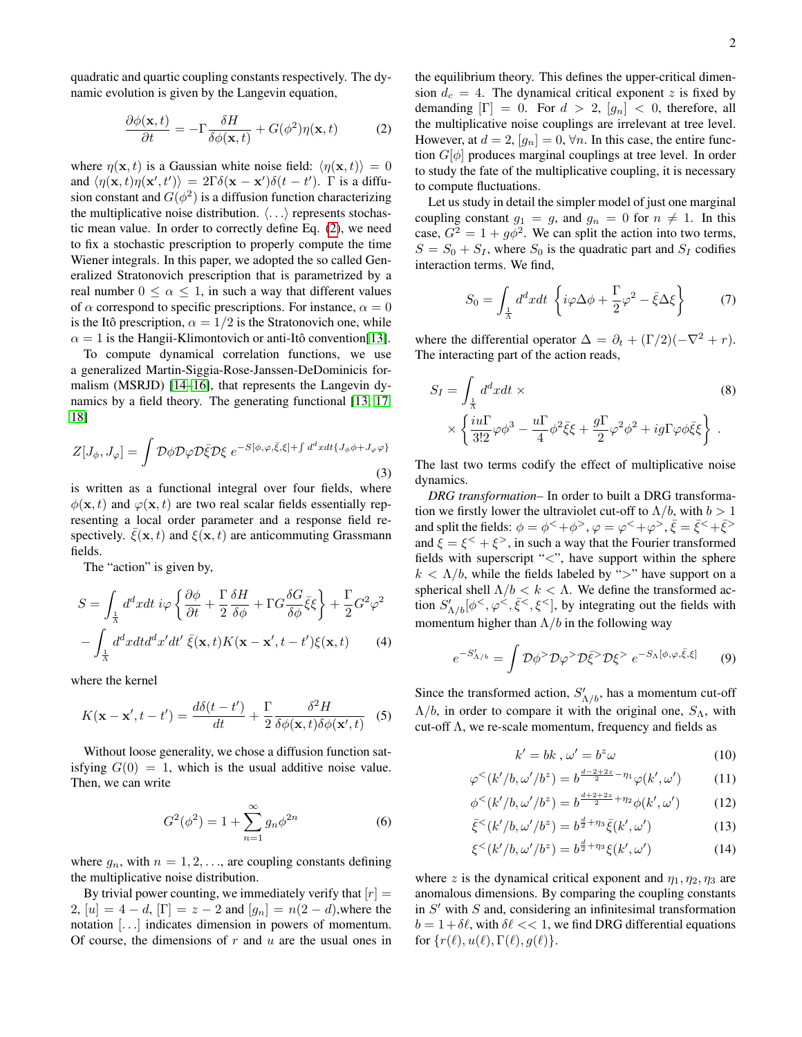quadratic and quartic coupling constants respectively. The dynamic evolution is given by the Langevin equation,

<span id="page-1-0"></span>
$$
\frac{\partial \phi(\mathbf{x},t)}{\partial t} = -\Gamma \frac{\delta H}{\delta \phi(\mathbf{x},t)} + G(\phi^2) \eta(\mathbf{x},t)
$$
 (2)

where  $\eta(\mathbf{x}, t)$  is a Gaussian white noise field:  $\langle \eta(\mathbf{x}, t) \rangle = 0$ and  $\langle \eta(\mathbf{x}, t) \eta(\mathbf{x}', t') \rangle = 2\Gamma \delta(\mathbf{x} - \mathbf{x}') \delta(t - t')$ .  $\Gamma$  is a diffusion constant and  $G(\phi^2)$  is a diffusion function characterizing the multiplicative noise distribution.  $\langle \ldots \rangle$  represents stochastic mean value. In order to correctly define Eq. [\(2\)](#page-1-0), we need to fix a stochastic prescription to properly compute the time Wiener integrals. In this paper, we adopted the so called Generalized Stratonovich prescription that is parametrized by a real number  $0 \leq \alpha \leq 1$ , in such a way that different values of  $\alpha$  correspond to specific prescriptions. For instance,  $\alpha = 0$ is the Itô prescription,  $\alpha = 1/2$  is the Stratonovich one, while  $\alpha = 1$  is the Hangii-Klimontovich or anti-Itô convention[\[13\]](#page-3-14).

To compute dynamical correlation functions, we use a generalized Martin-Siggia-Rose-Janssen-DeDominicis formalism (MSRJD) [\[14](#page-3-15)[–16\]](#page-3-16), that represents the Langevin dynamics by a field theory. The generating functional [\[13,](#page-3-14) [17,](#page-3-17) [18\]](#page-3-18)

$$
Z[J_{\phi}, J_{\varphi}] = \int \mathcal{D}\phi \mathcal{D}\varphi \mathcal{D}\bar{\xi} \mathcal{D}\xi \ e^{-S[\phi, \varphi, \bar{\xi}, \xi] + \int d^d x dt \{J_{\phi}\phi + J_{\varphi}\varphi\}}
$$
\n(3)

is written as a functional integral over four fields, where  $\phi(\mathbf{x}, t)$  and  $\phi(\mathbf{x}, t)$  are two real scalar fields essentially representing a local order parameter and a response field respectively.  $\xi(\mathbf{x}, t)$  and  $\xi(\mathbf{x}, t)$  are anticommuting Grassmann fields.

The "action" is given by,

$$
S = \int_{\frac{1}{\lambda}} d^d x dt \, i\varphi \left\{ \frac{\partial \phi}{\partial t} + \frac{\Gamma}{2} \frac{\delta H}{\delta \phi} + \Gamma G \frac{\delta G}{\delta \phi} \bar{\xi} \xi \right\} + \frac{\Gamma}{2} G^2 \varphi^2
$$

$$
- \int_{\frac{1}{\lambda}} d^d x dt d^d x' dt' \bar{\xi}(\mathbf{x}, t) K(\mathbf{x} - \mathbf{x}', t - t') \xi(\mathbf{x}, t) \tag{4}
$$

where the kernel

$$
K(\mathbf{x} - \mathbf{x}', t - t') = \frac{d\delta(t - t')}{dt} + \frac{\Gamma}{2} \frac{\delta^2 H}{\delta \phi(\mathbf{x}, t) \delta \phi(\mathbf{x}', t)} \quad (5)
$$

Without loose generality, we chose a diffusion function satisfying  $G(0) = 1$ , which is the usual additive noise value. Then, we can write

$$
G^{2}(\phi^{2}) = 1 + \sum_{n=1}^{\infty} g_{n} \phi^{2n}
$$
 (6)

where  $g_n$ , with  $n = 1, 2, \ldots$ , are coupling constants defining the multiplicative noise distribution.

By trivial power counting, we immediately verify that  $[r] =$ 2,  $[u] = 4 - d$ ,  $[\Gamma] = z - 2$  and  $[g_n] = n(2 - d)$ , where the notation [. . .] indicates dimension in powers of momentum. Of course, the dimensions of  $r$  and  $u$  are the usual ones in the equilibrium theory. This defines the upper-critical dimension  $d_c = 4$ . The dynamical critical exponent z is fixed by demanding  $[\Gamma] = 0$ . For  $d > 2$ ,  $[g_n] < 0$ , therefore, all the multiplicative noise couplings are irrelevant at tree level. However, at  $d = 2$ ,  $[g_n] = 0$ ,  $\forall n$ . In this case, the entire function  $G[\phi]$  produces marginal couplings at tree level. In order to study the fate of the multiplicative coupling, it is necessary to compute fluctuations.

Let us study in detail the simpler model of just one marginal coupling constant  $g_1 = g$ , and  $g_n = 0$  for  $n \neq 1$ . In this case,  $G^2 = 1 + g\phi^2$ . We can split the action into two terms,  $S = S_0 + S_I$ , where  $S_0$  is the quadratic part and  $S_I$  codifies interaction terms. We find,

<span id="page-1-3"></span><span id="page-1-1"></span>
$$
S_0 = \int_{\frac{1}{\Lambda}} d^d x dt \left\{ i\varphi \Delta \phi + \frac{\Gamma}{2} \varphi^2 - \bar{\xi} \Delta \xi \right\} \tag{7}
$$

where the differential operator  $\Delta = \partial_t + (\Gamma/2)(-\nabla^2 + r)$ . The interacting part of the action reads,

$$
S_I = \int_{\frac{1}{\Lambda}} d^d x dt \times
$$
  
 
$$
\times \left\{ \frac{i u \Gamma}{3!2} \varphi \phi^3 - \frac{u \Gamma}{4} \phi^2 \bar{\xi} \xi + \frac{g \Gamma}{2} \varphi^2 \phi^2 + ig \Gamma \varphi \phi \bar{\xi} \xi \right\}.
$$
  
(8)

The last two terms codify the effect of multiplicative noise dynamics.

*DRG transformation–* In order to built a DRG transformation we firstly lower the ultraviolet cut-off to  $\Lambda/b$ , with  $b > 1$ and split the fields:  $\phi = \phi^{\lt} + \phi^{\gt}$ ,  $\varphi = \varphi^{\lt} + \varphi^{\gt}$ ,  $\bar{\xi} = \bar{\xi}^{\lt} + \bar{\xi}^{\gt}$ and  $\xi = \xi^{\le} + \xi^{\ge}$ , in such a way that the Fourier transformed fields with superscript "<", have support within the sphere  $k < \Lambda/b$ , while the fields labeled by ">" have support on a spherical shell  $\Lambda/b < k < \Lambda$ . We define the transformed action  $S'_{\Lambda/b}[\phi^{\lt}\gamma, \phi^{\lt}\gamma, \bar{\xi}^{\lt}\gamma, \xi^{\lt}\gamma]$ , by integrating out the fields with momentum higher than  $\Lambda/b$  in the following way

<span id="page-1-2"></span>
$$
e^{-S'_{\Lambda/b}} = \int \mathcal{D}\phi^> \mathcal{D}\phi^> \mathcal{D}\bar{\xi}^> \mathcal{D}\xi^> e^{-S_{\Lambda}[\phi,\varphi,\bar{\xi},\xi]}
$$
(9)

Since the transformed action,  $S'_{\Lambda/b}$ , has a momentum cut-off  $\Lambda/b$ , in order to compare it with the original one,  $S_{\Lambda}$ , with cut-off  $\Lambda$ , we re-scale momentum, frequency and fields as

$$
k' = bk \,, \omega' = b^z \omega \tag{10}
$$

$$
\varphi^{<}(k'/b, \omega'/b^{z}) = b^{\frac{d-2+2z}{2}-\eta_{1}} \varphi(k', \omega')
$$
 (11)

$$
\phi^{<}(k'/b, \omega'/b^{z}) = b^{\frac{d+2+2z}{2} + \eta_{2}} \phi(k', \omega')
$$
 (12)

$$
\bar{\xi}^{<}(k'/b,\omega'/b^{z}) = b^{\frac{d}{2}+\eta_{3}}\bar{\xi}(k',\omega')
$$
 (13)

$$
\xi^{<}(k'/b,\omega'/b^{z}) = b^{\frac{d}{2}+\eta_{3}}\xi(k',\omega')
$$
 (14)

where z is the dynamical critical exponent and  $\eta_1, \eta_2, \eta_3$  are anomalous dimensions. By comparing the coupling constants in  $S'$  with  $S$  and, considering an infinitesimal transformation  $b = 1 + \delta\ell$ , with  $\delta\ell \ll 1$ , we find DRG differential equations for  $\{r(\ell), u(\ell), \Gamma(\ell), g(\ell)\}.$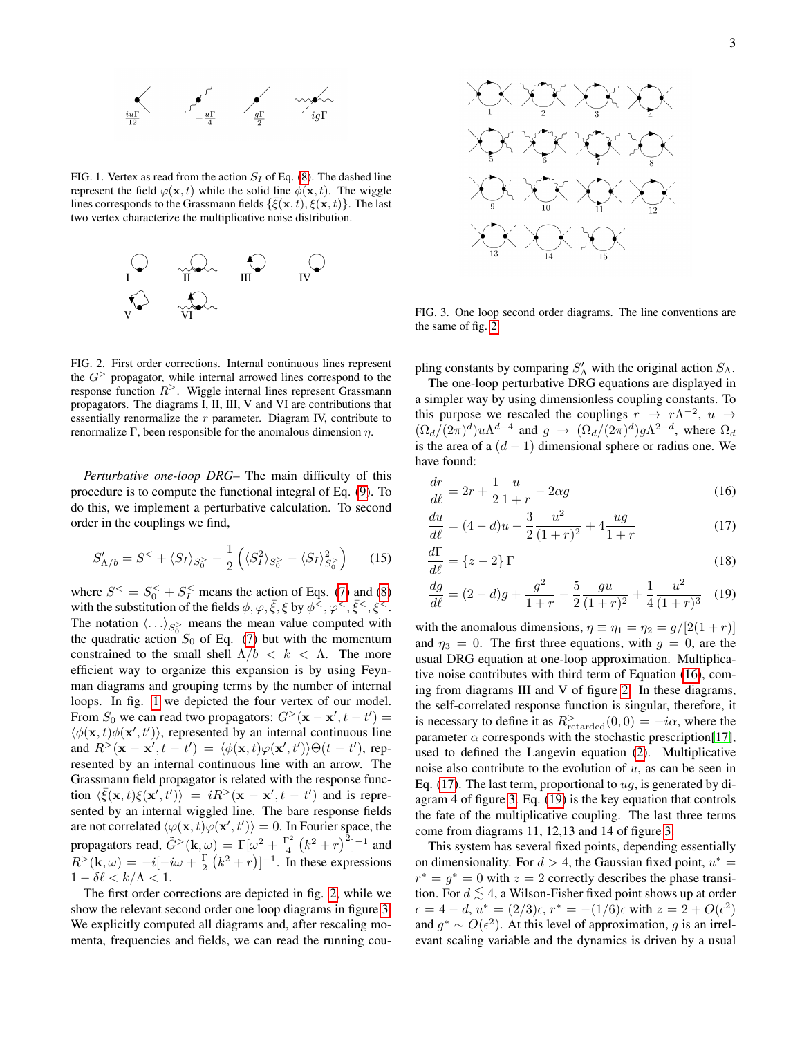

<span id="page-2-0"></span>FIG. 1. Vertex as read from the action  $S_I$  of Eq. [\(8\)](#page-1-1). The dashed line represent the field  $\varphi(\mathbf{x}, t)$  while the solid line  $\phi(\mathbf{x}, t)$ . The wiggle lines corresponds to the Grassmann fields  $\{\bar{\xi}(\mathbf{x},t), \xi(\mathbf{x},t)\}\)$ . The last two vertex characterize the multiplicative noise distribution.



<span id="page-2-1"></span>FIG. 2. First order corrections. Internal continuous lines represent the  $G$  propagator, while internal arrowed lines correspond to the response function  $R$ <sup>></sup>. Wiggle internal lines represent Grassmann propagators. The diagrams I, II, III, V and VI are contributions that essentially renormalize the r parameter. Diagram IV, contribute to renormalize Γ, been responsible for the anomalous dimension η.

*Perturbative one-loop DRG–* The main difficulty of this procedure is to compute the functional integral of Eq. [\(9\)](#page-1-2). To do this, we implement a perturbative calculation. To second order in the couplings we find,

$$
S'_{\Lambda/b} = S^{\lt} + \langle S_I \rangle_{S_0^{\gt}} - \frac{1}{2} \left( \langle S_I^2 \rangle_{S_0^{\gt}} - \langle S_I \rangle_{S_0^{\gt}}^2 \right) \tag{15}
$$

where  $S^{\leq} = S_0^{\leq} + S_I^{\leq}$  means the action of Eqs. [\(7\)](#page-1-3) and [\(8\)](#page-1-1) with the substitution of the fields  $\phi, \varphi, \bar{\xi}, \xi$  by  $\phi^{\leq}, \varphi^{\leq}, \bar{\xi}^{\leq}, \xi^{\leq}$ . The notation  $\langle \ldots \rangle_{S_0^>}$  means the mean value computed with the quadratic action  $S_0$  of Eq. [\(7\)](#page-1-3) but with the momentum constrained to the small shell  $\Lambda/b < k < \Lambda$ . The more efficient way to organize this expansion is by using Feynman diagrams and grouping terms by the number of internal loops. In fig. [1](#page-2-0) we depicted the four vertex of our model. From  $S_0$  we can read two propagators:  $G^>(\mathbf{x} - \mathbf{x}', t - t') =$  $\langle \phi(\mathbf{x}, t) \phi(\mathbf{x}', t') \rangle$ , represented by an internal continuous line and  $R<sup>></sup>(**x** - **x**', t - t') = \langle \phi(**x**, t) \varphi(**x**', t') \rangle \Theta(t - t')$ , represented by an internal continuous line with an arrow. The Grassmann field propagator is related with the response function  $\langle \bar{\xi}(\mathbf{x},t)\xi(\mathbf{x}',t') \rangle = iR^>(\mathbf{x}-\mathbf{x}',t-t')$  and is represented by an internal wiggled line. The bare response fields are not correlated  $\langle \varphi(\mathbf{x}, t) \varphi(\mathbf{x}', t') \rangle = 0$ . In Fourier space, the propagators read,  $\tilde{G}^>(\mathbf{k}, \omega) = \Gamma[\omega^2 + \frac{\Gamma^2}{4} (k^2 + r)^2]^{-1}$  and  $R > (\mathbf{k}, \omega) = -i[-i\omega + \frac{\Gamma}{2}(k^2 + r)]^{-1}$ . In these expressions  $1 - \delta \ell < k/\Lambda < 1$ .

The first order corrections are depicted in fig. [2,](#page-2-1) while we show the relevant second order one loop diagrams in figure [3.](#page-2-2) We explicitly computed all diagrams and, after rescaling momenta, frequencies and fields, we can read the running cou-



<span id="page-2-2"></span>FIG. 3. One loop second order diagrams. The line conventions are the same of fig. [2](#page-2-1)

pling constants by comparing  $S'_{\Lambda}$  with the original action  $S_{\Lambda}$ .

The one-loop perturbative DRG equations are displayed in a simpler way by using dimensionless coupling constants. To this purpose we rescaled the couplings  $r \to r\Lambda^{-2}$ ,  $u \to$  $(\Omega_d/(2\pi)^d)u\Lambda^{d-4}$  and  $g \to (\Omega_d/(2\pi)^d)g\Lambda^{2-d}$ , where  $\Omega_d$ is the area of a  $(d - 1)$  dimensional sphere or radius one. We have found:

<span id="page-2-3"></span>
$$
\frac{dr}{d\ell} = 2r + \frac{1}{2}\frac{u}{1+r} - 2\alpha g\tag{16}
$$

<span id="page-2-4"></span>
$$
\frac{du}{d\ell} = (4-d)u - \frac{3}{2}\frac{u^2}{(1+r)^2} + 4\frac{ug}{1+r}
$$
\n(17)

$$
\frac{d\Gamma}{d\ell} = \{z - 2\} \Gamma \tag{18}
$$

<span id="page-2-5"></span>
$$
\frac{dg}{d\ell} = (2 - d)g + \frac{g^2}{1 + r} - \frac{5}{2}\frac{gu}{(1 + r)^2} + \frac{1}{4}\frac{u^2}{(1 + r)^3} \tag{19}
$$

with the anomalous dimensions,  $\eta \equiv \eta_1 = \eta_2 = \frac{q}{2(1+r)}$ and  $\eta_3 = 0$ . The first three equations, with  $g = 0$ , are the usual DRG equation at one-loop approximation. Multiplicative noise contributes with third term of Equation [\(16\)](#page-2-3), coming from diagrams III and V of figure [2.](#page-2-1) In these diagrams, the self-correlated response function is singular, therefore, it is necessary to define it as  $R_{\text{retarded}}^>(0,0) = -i\alpha$ , where the parameter  $\alpha$  corresponds with the stochastic prescription[\[17\]](#page-3-17), used to defined the Langevin equation [\(2\)](#page-1-0). Multiplicative noise also contribute to the evolution of  $u$ , as can be seen in Eq. [\(17\)](#page-2-4). The last term, proportional to  $ug$ , is generated by diagram 4 of figure [3.](#page-2-2) Eq. [\(19\)](#page-2-5) is the key equation that controls the fate of the multiplicative coupling. The last three terms come from diagrams 11, 12,13 and 14 of figure [3.](#page-2-2)

This system has several fixed points, depending essentially on dimensionality. For  $d > 4$ , the Gaussian fixed point,  $u^* =$  $r^* = g^* = 0$  with  $z = 2$  correctly describes the phase transition. For  $d \leq 4$ , a Wilson-Fisher fixed point shows up at order  $\epsilon = 4 - d, u^* = (2/3)\epsilon, r^* = -(1/6)\epsilon$  with  $z = 2 + O(\epsilon^2)$ and  $g^* \sim O(\epsilon^2)$ . At this level of approximation, g is an irrelevant scaling variable and the dynamics is driven by a usual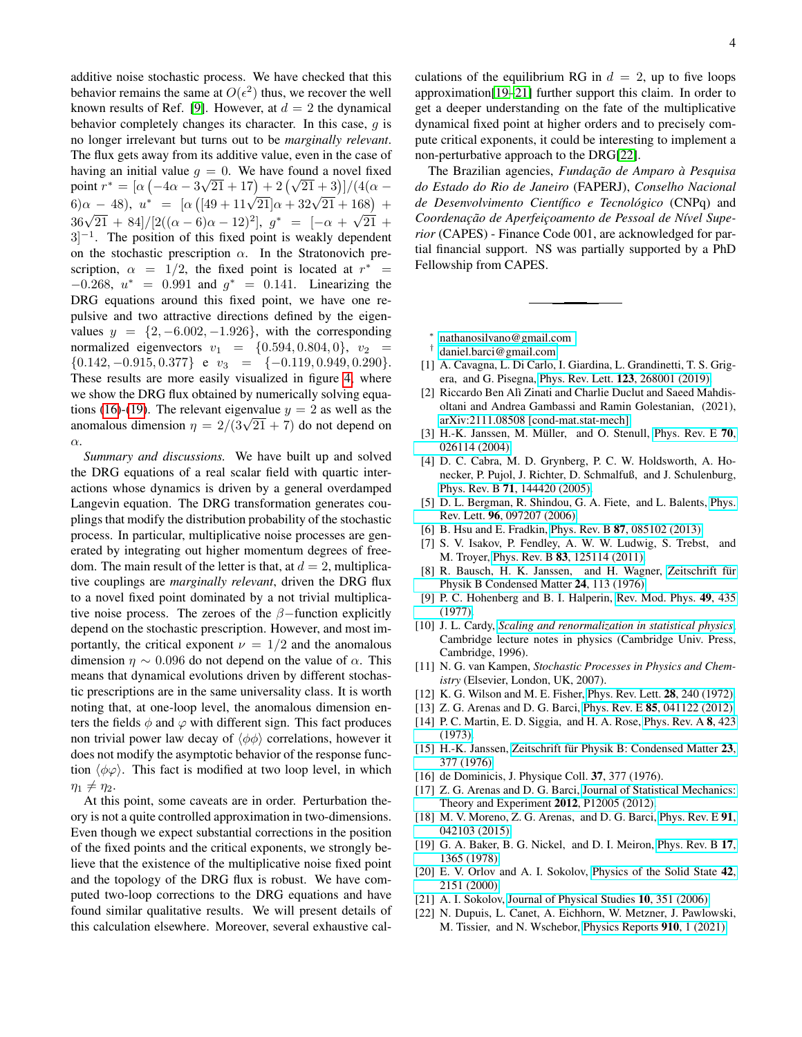additive noise stochastic process. We have checked that this behavior remains the same at  $O(\epsilon^2)$  thus, we recover the well known results of Ref. [\[9\]](#page-3-10). However, at  $d = 2$  the dynamical behavior completely changes its character. In this case,  $q$  is no longer irrelevant but turns out to be *marginally relevant*. The flux gets away from its additive value, even in the case of having an initial value  $g = 0$ . We have found a novel fixed naving an initial value  $g = 0$ . We have found a novel fixed<br>point  $r^* = [\alpha ( -4\alpha - 3\sqrt{21} + 17) + 2(\sqrt{21} + 3)]/(4(\alpha \begin{array}{rcl}\n\text{point } t & = [\alpha ( -4\alpha - 3\sqrt{21 + 11}) + 2(\sqrt{21 + 3})]/(4(\alpha - 6)\alpha - 48), u^* & = [\alpha ( [49 + 11\sqrt{21}]\alpha + 32\sqrt{21 + 168}) + \frac{1}{2} \sqrt{21 + 168} \end{array}$  $36\sqrt{21} + 84]/[2((\alpha - 6)\alpha - 12)^2], g^* = [-\alpha + \sqrt{21} +$  $3]$ <sup>-1</sup>. The position of this fixed point is weakly dependent on the stochastic prescription  $\alpha$ . In the Stratonovich prescription,  $\alpha = 1/2$ , the fixed point is located at  $r^* =$  $-0.268$ ,  $u^* = 0.991$  and  $g^* = 0.141$ . Linearizing the DRG equations around this fixed point, we have one repulsive and two attractive directions defined by the eigenvalues  $y = \{2, -6.002, -1.926\}$ , with the corresponding normalized eigenvectors  $v_1 = \{0.594, 0.804, 0\}, v_2 =$  ${0.142, -0.915, 0.377}$  e  $v_3 = {-0.119, 0.949, 0.290}.$ These results are more easily visualized in figure [4,](#page-4-0) where we show the DRG flux obtained by numerically solving equa-tions [\(16\)](#page-2-3)-[\(19\)](#page-2-5). The relevant eigenvalue  $y = 2$  as well as the anomalous dimension  $\eta = 2/(3\sqrt{21} + 7)$  do not depend on α.

*Summary and discussions.* We have built up and solved the DRG equations of a real scalar field with quartic interactions whose dynamics is driven by a general overdamped Langevin equation. The DRG transformation generates couplings that modify the distribution probability of the stochastic process. In particular, multiplicative noise processes are generated by integrating out higher momentum degrees of freedom. The main result of the letter is that, at  $d = 2$ , multiplicative couplings are *marginally relevant*, driven the DRG flux to a novel fixed point dominated by a not trivial multiplicative noise process. The zeroes of the  $\beta$ -function explicitly depend on the stochastic prescription. However, and most importantly, the critical exponent  $\nu = 1/2$  and the anomalous dimension  $\eta \sim 0.096$  do not depend on the value of  $\alpha$ . This means that dynamical evolutions driven by different stochastic prescriptions are in the same universality class. It is worth noting that, at one-loop level, the anomalous dimension enters the fields  $\phi$  and  $\varphi$  with different sign. This fact produces non trivial power law decay of  $\langle \phi \phi \rangle$  correlations, however it does not modify the asymptotic behavior of the response function  $\langle \phi \varphi \rangle$ . This fact is modified at two loop level, in which  $\eta_1 \neq \eta_2$ .

At this point, some caveats are in order. Perturbation theory is not a quite controlled approximation in two-dimensions. Even though we expect substantial corrections in the position of the fixed points and the critical exponents, we strongly believe that the existence of the multiplicative noise fixed point and the topology of the DRG flux is robust. We have computed two-loop corrections to the DRG equations and have found similar qualitative results. We will present details of this calculation elsewhere. Moreover, several exhaustive calculations of the equilibrium RG in  $d = 2$ , up to five loops approximation[\[19](#page-3-19)[–21\]](#page-3-20) further support this claim. In order to get a deeper understanding on the fate of the multiplicative dynamical fixed point at higher orders and to precisely compute critical exponents, it could be interesting to implement a non-perturbative approach to the DRG[\[22\]](#page-3-21).

The Brazilian agencies, *Fundac¸ao de Amparo ˜ a Pesquisa ` do Estado do Rio de Janeiro* (FAPERJ), *Conselho Nacional de Desenvolvimento Cient´ıfico e Tecnologico ´* (CNPq) and Coordenação de Aperfeicoamento de Pessoal de Nível Supe*rior* (CAPES) - Finance Code 001, are acknowledged for partial financial support. NS was partially supported by a PhD Fellowship from CAPES.

<span id="page-3-0"></span>∗ [nathanosilvano@gmail.com](mailto:nathanosilvano@gmail.com )

- <span id="page-3-1"></span>† [daniel.barci@gmail.com](mailto:daniel.barci@gmail.com)
- <span id="page-3-2"></span>[1] A. Cavagna, L. Di Carlo, I. Giardina, L. Grandinetti, T. S. Grigera, and G. Pisegna, Phys. Rev. Lett. 123[, 268001 \(2019\).](https://doi.org/ 10.1103/PhysRevLett.123.268001)
- <span id="page-3-3"></span>[2] Riccardo Ben Alì Zinati and Charlie Duclut and Saeed Mahdisoltani and Andrea Gambassi and Ramin Golestanian, (2021), [arXiv:2111.08508 \[cond-mat.stat-mech\].](http://arxiv.org/abs/2111.08508)
- <span id="page-3-4"></span>[3] H.-K. Janssen, M. Müller, and O. Stenull, [Phys. Rev. E](https://doi.org/10.1103/PhysRevE.70.026114)  $70$ , [026114 \(2004\).](https://doi.org/10.1103/PhysRevE.70.026114)
- <span id="page-3-5"></span>[4] D. C. Cabra, M. D. Grynberg, P. C. W. Holdsworth, A. Honecker, P. Pujol, J. Richter, D. Schmalfuß, and J. Schulenburg, Phys. Rev. B 71[, 144420 \(2005\).](https://doi.org/ 10.1103/PhysRevB.71.144420)
- <span id="page-3-6"></span>[5] D. L. Bergman, R. Shindou, G. A. Fiete, and L. Balents, [Phys.](https://doi.org/10.1103/PhysRevLett.96.097207) Rev. Lett. 96[, 097207 \(2006\).](https://doi.org/10.1103/PhysRevLett.96.097207)
- <span id="page-3-7"></span>[6] B. Hsu and E. Fradkin, Phys. Rev. B 87[, 085102 \(2013\).](https://doi.org/10.1103/PhysRevB.87.085102)
- <span id="page-3-8"></span>[7] S. V. Isakov, P. Fendley, A. W. W. Ludwig, S. Trebst, and M. Troyer, Phys. Rev. B 83[, 125114 \(2011\).](https://doi.org/ 10.1103/PhysRevB.83.125114)
- <span id="page-3-9"></span>[8] R. Bausch, H. K. Janssen, and H. Wagner, Zeitschrift für [Physik B Condensed Matter](https://doi.org/10.1007/BF01312880) 24, 113 (1976).
- <span id="page-3-10"></span>[9] P. C. Hohenberg and B. I. Halperin, [Rev. Mod. Phys.](https://doi.org/10.1103/RevModPhys.49.435) 49, 435 [\(1977\).](https://doi.org/10.1103/RevModPhys.49.435)
- <span id="page-3-11"></span>[10] J. L. Cardy, *[Scaling and renormalization in statistical physics](https://cds.cern.ch/record/318508)*, Cambridge lecture notes in physics (Cambridge Univ. Press, Cambridge, 1996).
- <span id="page-3-12"></span>[11] N. G. van Kampen, *Stochastic Processes in Physics and Chemistry* (Elsevier, London, UK, 2007).
- <span id="page-3-13"></span>[12] K. G. Wilson and M. E. Fisher, [Phys. Rev. Lett.](https://doi.org/10.1103/PhysRevLett.28.240) **28**, 240 (1972).
- <span id="page-3-14"></span>[13] Z. G. Arenas and D. G. Barci, *Phys. Rev. E* **85**[, 041122 \(2012\).](https://doi.org/10.1103/PhysRevE.85.041122)
- <span id="page-3-15"></span>[14] P. C. Martin, E. D. Siggia, and H. A. Rose, [Phys. Rev. A](https://doi.org/10.1103/PhysRevA.8.423) 8, 423 [\(1973\).](https://doi.org/10.1103/PhysRevA.8.423)
- [15] H.-K. Janssen, Zeitschrift für Physik B: Condensed Matter 23, [377 \(1976\).](https://doi.org/10.1007/BF01316547)
- <span id="page-3-16"></span>[16] de Dominicis, J. Physique Coll. **37**, 377 (1976).
- <span id="page-3-17"></span>[17] Z. G. Arenas and D. G. Barci, [Journal of Statistical Mechanics:](http://stacks.iop.org/1742-5468/2012/i=12/a=P12005) [Theory and Experiment](http://stacks.iop.org/1742-5468/2012/i=12/a=P12005) 2012, P12005 (2012).
- <span id="page-3-18"></span>[18] M. V. Moreno, Z. G. Arenas, and D. G. Barci, [Phys. Rev. E](https://doi.org/10.1103/PhysRevE.91.042103) 91, [042103 \(2015\).](https://doi.org/10.1103/PhysRevE.91.042103)
- <span id="page-3-19"></span>[19] G. A. Baker, B. G. Nickel, and D. I. Meiron, [Phys. Rev. B](https://doi.org/10.1103/PhysRevB.17.1365) 17, [1365 \(1978\).](https://doi.org/10.1103/PhysRevB.17.1365)
- [20] E. V. Orlov and A. I. Sokolov, [Physics of the Solid State](https://doi.org/10.1134/1.1324056) 42, [2151 \(2000\).](https://doi.org/10.1134/1.1324056)
- <span id="page-3-20"></span>[21] A. I. Sokolov, [Journal of Physical Studies](https://doi.org/10.30970/jps.10.351) 10, 351 (2006).
- <span id="page-3-21"></span>[22] N. Dupuis, L. Canet, A. Eichhorn, W. Metzner, J. Pawlowski, M. Tissier, and N. Wschebor, [Physics Reports](https://doi.org/ https://doi.org/10.1016/j.physrep.2021.01.001) 910, 1 (2021).